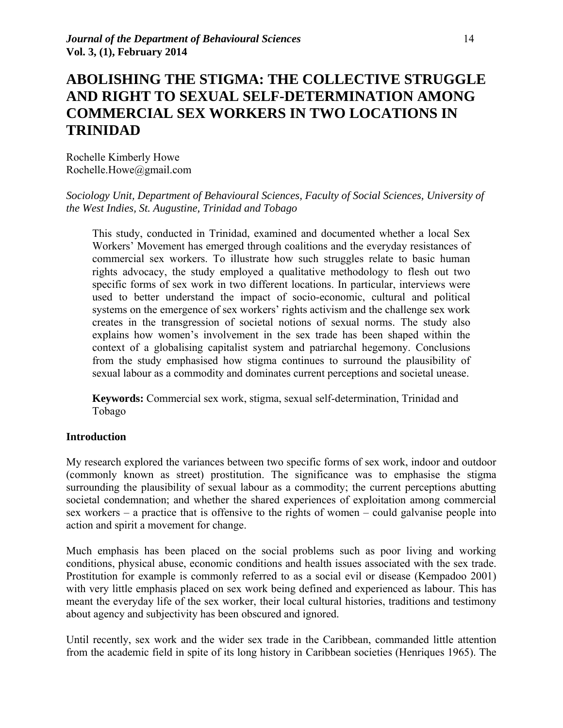# **ABOLISHING THE STIGMA: THE COLLECTIVE STRUGGLE AND RIGHT TO SEXUAL SELF-DETERMINATION AMONG COMMERCIAL SEX WORKERS IN TWO LOCATIONS IN TRINIDAD**

Rochelle Kimberly Howe Rochelle.Howe@gmail.com

## *Sociology Unit, Department of Behavioural Sciences, Faculty of Social Sciences, University of the West Indies, St. Augustine, Trinidad and Tobago*

This study, conducted in Trinidad, examined and documented whether a local Sex Workers' Movement has emerged through coalitions and the everyday resistances of commercial sex workers. To illustrate how such struggles relate to basic human rights advocacy, the study employed a qualitative methodology to flesh out two specific forms of sex work in two different locations. In particular, interviews were used to better understand the impact of socio-economic, cultural and political systems on the emergence of sex workers' rights activism and the challenge sex work creates in the transgression of societal notions of sexual norms. The study also explains how women's involvement in the sex trade has been shaped within the context of a globalising capitalist system and patriarchal hegemony. Conclusions from the study emphasised how stigma continues to surround the plausibility of sexual labour as a commodity and dominates current perceptions and societal unease.

**Keywords:** Commercial sex work, stigma, sexual self-determination, Trinidad and Tobago

#### **Introduction**

My research explored the variances between two specific forms of sex work, indoor and outdoor (commonly known as street) prostitution. The significance was to emphasise the stigma surrounding the plausibility of sexual labour as a commodity; the current perceptions abutting societal condemnation; and whether the shared experiences of exploitation among commercial sex workers – a practice that is offensive to the rights of women – could galvanise people into action and spirit a movement for change.

Much emphasis has been placed on the social problems such as poor living and working conditions, physical abuse, economic conditions and health issues associated with the sex trade. Prostitution for example is commonly referred to as a social evil or disease (Kempadoo 2001) with very little emphasis placed on sex work being defined and experienced as labour. This has meant the everyday life of the sex worker, their local cultural histories, traditions and testimony about agency and subjectivity has been obscured and ignored.

Until recently, sex work and the wider sex trade in the Caribbean, commanded little attention from the academic field in spite of its long history in Caribbean societies (Henriques 1965). The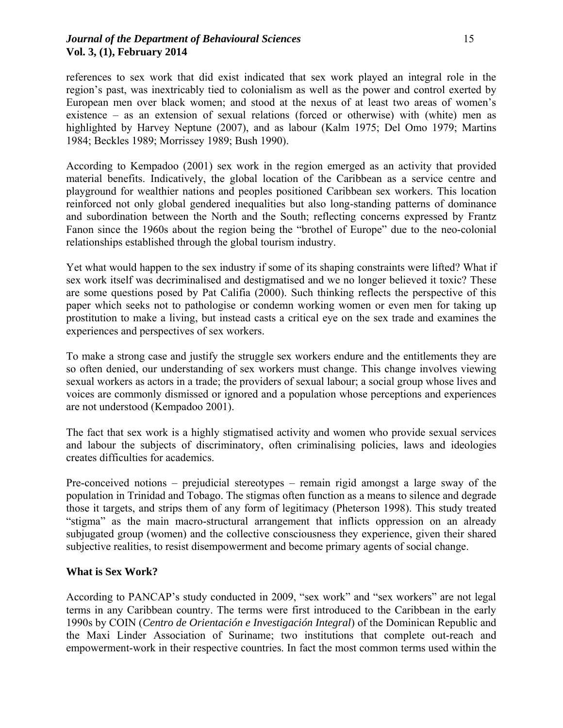## *Journal of the Department of Behavioural Sciences* 15 **Vol. 3, (1), February 2014**

references to sex work that did exist indicated that sex work played an integral role in the region's past, was inextricably tied to colonialism as well as the power and control exerted by European men over black women; and stood at the nexus of at least two areas of women's existence – as an extension of sexual relations (forced or otherwise) with (white) men as highlighted by Harvey Neptune (2007), and as labour (Kalm 1975; Del Omo 1979; Martins 1984; Beckles 1989; Morrissey 1989; Bush 1990).

According to Kempadoo (2001) sex work in the region emerged as an activity that provided material benefits. Indicatively, the global location of the Caribbean as a service centre and playground for wealthier nations and peoples positioned Caribbean sex workers. This location reinforced not only global gendered inequalities but also long-standing patterns of dominance and subordination between the North and the South; reflecting concerns expressed by Frantz Fanon since the 1960s about the region being the "brothel of Europe" due to the neo-colonial relationships established through the global tourism industry.

Yet what would happen to the sex industry if some of its shaping constraints were lifted? What if sex work itself was decriminalised and destigmatised and we no longer believed it toxic? These are some questions posed by Pat Califia (2000). Such thinking reflects the perspective of this paper which seeks not to pathologise or condemn working women or even men for taking up prostitution to make a living, but instead casts a critical eye on the sex trade and examines the experiences and perspectives of sex workers.

To make a strong case and justify the struggle sex workers endure and the entitlements they are so often denied, our understanding of sex workers must change. This change involves viewing sexual workers as actors in a trade; the providers of sexual labour; a social group whose lives and voices are commonly dismissed or ignored and a population whose perceptions and experiences are not understood (Kempadoo 2001).

The fact that sex work is a highly stigmatised activity and women who provide sexual services and labour the subjects of discriminatory, often criminalising policies, laws and ideologies creates difficulties for academics.

Pre-conceived notions – prejudicial stereotypes – remain rigid amongst a large sway of the population in Trinidad and Tobago. The stigmas often function as a means to silence and degrade those it targets, and strips them of any form of legitimacy (Pheterson 1998). This study treated "stigma" as the main macro-structural arrangement that inflicts oppression on an already subjugated group (women) and the collective consciousness they experience, given their shared subjective realities, to resist disempowerment and become primary agents of social change.

# **What is Sex Work?**

According to PANCAP's study conducted in 2009, "sex work" and "sex workers" are not legal terms in any Caribbean country. The terms were first introduced to the Caribbean in the early 1990s by COIN (*Centro de Orientación e Investigación Integral*) of the Dominican Republic and the Maxi Linder Association of Suriname; two institutions that complete out-reach and empowerment-work in their respective countries. In fact the most common terms used within the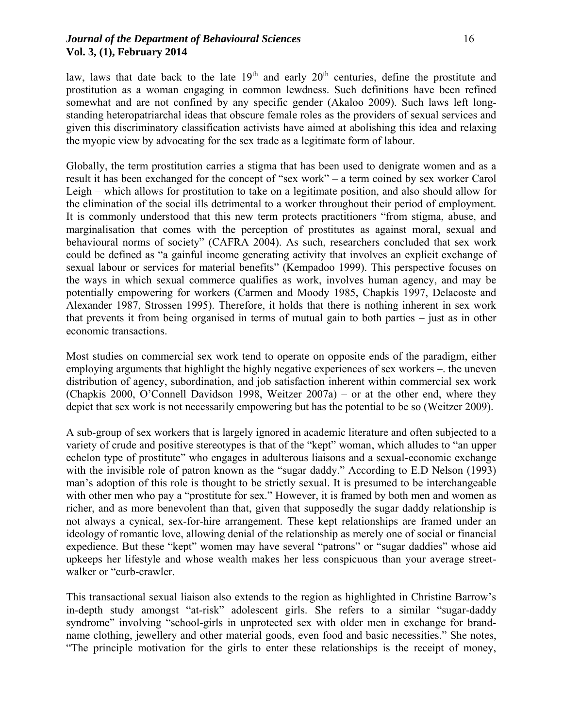#### *Journal of the Department of Behavioural Sciences* 16 **Vol. 3, (1), February 2014**

law, laws that date back to the late  $19<sup>th</sup>$  and early  $20<sup>th</sup>$  centuries, define the prostitute and prostitution as a woman engaging in common lewdness. Such definitions have been refined somewhat and are not confined by any specific gender (Akaloo 2009). Such laws left longstanding heteropatriarchal ideas that obscure female roles as the providers of sexual services and given this discriminatory classification activists have aimed at abolishing this idea and relaxing the myopic view by advocating for the sex trade as a legitimate form of labour.

Globally, the term prostitution carries a stigma that has been used to denigrate women and as a result it has been exchanged for the concept of "sex work" – a term coined by sex worker Carol Leigh – which allows for prostitution to take on a legitimate position, and also should allow for the elimination of the social ills detrimental to a worker throughout their period of employment. It is commonly understood that this new term protects practitioners "from stigma, abuse, and marginalisation that comes with the perception of prostitutes as against moral, sexual and behavioural norms of society" (CAFRA 2004). As such, researchers concluded that sex work could be defined as "a gainful income generating activity that involves an explicit exchange of sexual labour or services for material benefits" (Kempadoo 1999). This perspective focuses on the ways in which sexual commerce qualifies as work, involves human agency, and may be potentially empowering for workers (Carmen and Moody 1985, Chapkis 1997, Delacoste and Alexander 1987, Strossen 1995). Therefore, it holds that there is nothing inherent in sex work that prevents it from being organised in terms of mutual gain to both parties – just as in other economic transactions.

Most studies on commercial sex work tend to operate on opposite ends of the paradigm, either employing arguments that highlight the highly negative experiences of sex workers –. the uneven distribution of agency, subordination, and job satisfaction inherent within commercial sex work (Chapkis 2000, O'Connell Davidson 1998, Weitzer 2007a) – or at the other end, where they depict that sex work is not necessarily empowering but has the potential to be so (Weitzer 2009).

A sub-group of sex workers that is largely ignored in academic literature and often subjected to a variety of crude and positive stereotypes is that of the "kept" woman, which alludes to "an upper echelon type of prostitute" who engages in adulterous liaisons and a sexual-economic exchange with the invisible role of patron known as the "sugar daddy." According to E.D Nelson (1993) man's adoption of this role is thought to be strictly sexual. It is presumed to be interchangeable with other men who pay a "prostitute for sex." However, it is framed by both men and women as richer, and as more benevolent than that, given that supposedly the sugar daddy relationship is not always a cynical, sex-for-hire arrangement. These kept relationships are framed under an ideology of romantic love, allowing denial of the relationship as merely one of social or financial expedience. But these "kept" women may have several "patrons" or "sugar daddies" whose aid upkeeps her lifestyle and whose wealth makes her less conspicuous than your average streetwalker or "curb-crawler.

This transactional sexual liaison also extends to the region as highlighted in Christine Barrow's in-depth study amongst "at-risk" adolescent girls. She refers to a similar "sugar-daddy syndrome" involving "school-girls in unprotected sex with older men in exchange for brandname clothing, jewellery and other material goods, even food and basic necessities." She notes, "The principle motivation for the girls to enter these relationships is the receipt of money,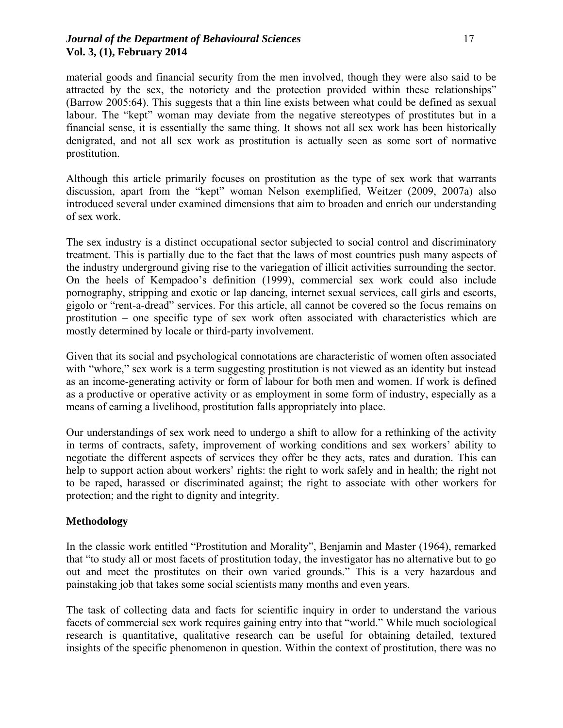## *Journal of the Department of Behavioural Sciences* 17 **Vol. 3, (1), February 2014**

material goods and financial security from the men involved, though they were also said to be attracted by the sex, the notoriety and the protection provided within these relationships" (Barrow 2005:64). This suggests that a thin line exists between what could be defined as sexual labour. The "kept" woman may deviate from the negative stereotypes of prostitutes but in a financial sense, it is essentially the same thing. It shows not all sex work has been historically denigrated, and not all sex work as prostitution is actually seen as some sort of normative prostitution.

Although this article primarily focuses on prostitution as the type of sex work that warrants discussion, apart from the "kept" woman Nelson exemplified, Weitzer (2009, 2007a) also introduced several under examined dimensions that aim to broaden and enrich our understanding of sex work.

The sex industry is a distinct occupational sector subjected to social control and discriminatory treatment. This is partially due to the fact that the laws of most countries push many aspects of the industry underground giving rise to the variegation of illicit activities surrounding the sector. On the heels of Kempadoo's definition (1999), commercial sex work could also include pornography, stripping and exotic or lap dancing, internet sexual services, call girls and escorts, gigolo or "rent-a-dread" services. For this article, all cannot be covered so the focus remains on prostitution – one specific type of sex work often associated with characteristics which are mostly determined by locale or third-party involvement.

Given that its social and psychological connotations are characteristic of women often associated with "whore," sex work is a term suggesting prostitution is not viewed as an identity but instead as an income-generating activity or form of labour for both men and women. If work is defined as a productive or operative activity or as employment in some form of industry, especially as a means of earning a livelihood, prostitution falls appropriately into place.

Our understandings of sex work need to undergo a shift to allow for a rethinking of the activity in terms of contracts, safety, improvement of working conditions and sex workers' ability to negotiate the different aspects of services they offer be they acts, rates and duration. This can help to support action about workers' rights: the right to work safely and in health; the right not to be raped, harassed or discriminated against; the right to associate with other workers for protection; and the right to dignity and integrity.

# **Methodology**

In the classic work entitled "Prostitution and Morality", Benjamin and Master (1964), remarked that "to study all or most facets of prostitution today, the investigator has no alternative but to go out and meet the prostitutes on their own varied grounds." This is a very hazardous and painstaking job that takes some social scientists many months and even years.

The task of collecting data and facts for scientific inquiry in order to understand the various facets of commercial sex work requires gaining entry into that "world." While much sociological research is quantitative, qualitative research can be useful for obtaining detailed, textured insights of the specific phenomenon in question. Within the context of prostitution, there was no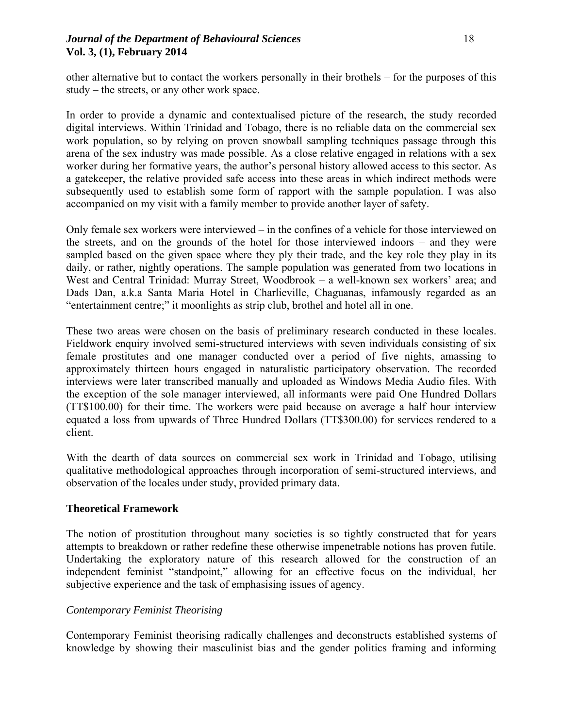## *Journal of the Department of Behavioural Sciences* 18 **Vol. 3, (1), February 2014**

other alternative but to contact the workers personally in their brothels – for the purposes of this study – the streets, or any other work space.

In order to provide a dynamic and contextualised picture of the research, the study recorded digital interviews. Within Trinidad and Tobago, there is no reliable data on the commercial sex work population, so by relying on proven snowball sampling techniques passage through this arena of the sex industry was made possible. As a close relative engaged in relations with a sex worker during her formative years, the author's personal history allowed access to this sector. As a gatekeeper, the relative provided safe access into these areas in which indirect methods were subsequently used to establish some form of rapport with the sample population. I was also accompanied on my visit with a family member to provide another layer of safety.

Only female sex workers were interviewed – in the confines of a vehicle for those interviewed on the streets, and on the grounds of the hotel for those interviewed indoors – and they were sampled based on the given space where they ply their trade, and the key role they play in its daily, or rather, nightly operations. The sample population was generated from two locations in West and Central Trinidad: Murray Street, Woodbrook – a well-known sex workers' area; and Dads Dan, a.k.a Santa Maria Hotel in Charlieville, Chaguanas, infamously regarded as an "entertainment centre;" it moonlights as strip club, brothel and hotel all in one.

These two areas were chosen on the basis of preliminary research conducted in these locales. Fieldwork enquiry involved semi-structured interviews with seven individuals consisting of six female prostitutes and one manager conducted over a period of five nights, amassing to approximately thirteen hours engaged in naturalistic participatory observation. The recorded interviews were later transcribed manually and uploaded as Windows Media Audio files. With the exception of the sole manager interviewed, all informants were paid One Hundred Dollars (TT\$100.00) for their time. The workers were paid because on average a half hour interview equated a loss from upwards of Three Hundred Dollars (TT\$300.00) for services rendered to a client.

With the dearth of data sources on commercial sex work in Trinidad and Tobago, utilising qualitative methodological approaches through incorporation of semi-structured interviews, and observation of the locales under study, provided primary data.

#### **Theoretical Framework**

The notion of prostitution throughout many societies is so tightly constructed that for years attempts to breakdown or rather redefine these otherwise impenetrable notions has proven futile. Undertaking the exploratory nature of this research allowed for the construction of an independent feminist "standpoint," allowing for an effective focus on the individual, her subjective experience and the task of emphasising issues of agency.

#### *Contemporary Feminist Theorising*

Contemporary Feminist theorising radically challenges and deconstructs established systems of knowledge by showing their masculinist bias and the gender politics framing and informing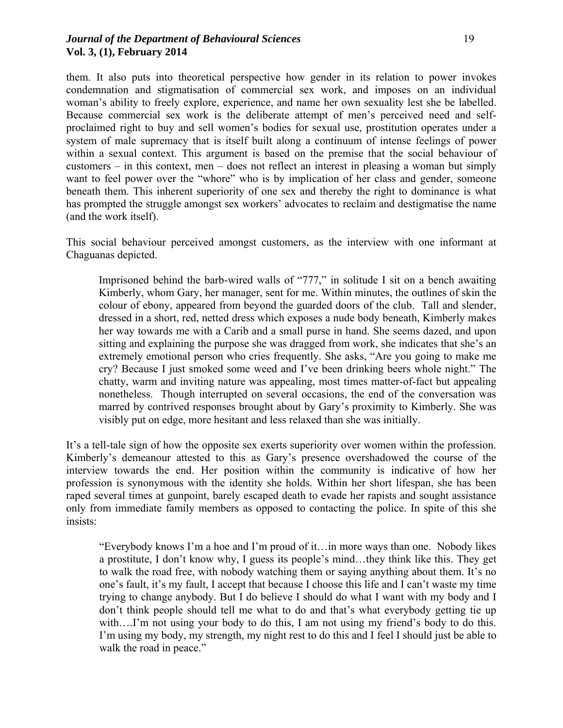#### *Journal of the Department of Behavioural Sciences* 19 **Vol. 3, (1), February 2014**

them. It also puts into theoretical perspective how gender in its relation to power invokes condemnation and stigmatisation of commercial sex work, and imposes on an individual woman's ability to freely explore, experience, and name her own sexuality lest she be labelled. Because commercial sex work is the deliberate attempt of men's perceived need and selfproclaimed right to buy and sell women's bodies for sexual use, prostitution operates under a system of male supremacy that is itself built along a continuum of intense feelings of power within a sexual context. This argument is based on the premise that the social behaviour of customers – in this context, men – does not reflect an interest in pleasing a woman but simply want to feel power over the "whore" who is by implication of her class and gender, someone beneath them. This inherent superiority of one sex and thereby the right to dominance is what has prompted the struggle amongst sex workers' advocates to reclaim and destigmatise the name (and the work itself).

This social behaviour perceived amongst customers, as the interview with one informant at Chaguanas depicted.

Imprisoned behind the barb-wired walls of "777," in solitude I sit on a bench awaiting Kimberly, whom Gary, her manager, sent for me. Within minutes, the outlines of skin the colour of ebony, appeared from beyond the guarded doors of the club. Tall and slender, dressed in a short, red, netted dress which exposes a nude body beneath, Kimberly makes her way towards me with a Carib and a small purse in hand. She seems dazed, and upon sitting and explaining the purpose she was dragged from work, she indicates that she's an extremely emotional person who cries frequently. She asks, "Are you going to make me cry? Because I just smoked some weed and I've been drinking beers whole night." The chatty, warm and inviting nature was appealing, most times matter-of-fact but appealing nonetheless. Though interrupted on several occasions, the end of the conversation was marred by contrived responses brought about by Gary's proximity to Kimberly. She was visibly put on edge, more hesitant and less relaxed than she was initially.

It's a tell-tale sign of how the opposite sex exerts superiority over women within the profession. Kimberly's demeanour attested to this as Gary's presence overshadowed the course of the interview towards the end. Her position within the community is indicative of how her profession is synonymous with the identity she holds. Within her short lifespan, she has been raped several times at gunpoint, barely escaped death to evade her rapists and sought assistance only from immediate family members as opposed to contacting the police. In spite of this she insists:

"Everybody knows I'm a hoe and I'm proud of it…in more ways than one. Nobody likes a prostitute, I don't know why, I guess its people's mind…they think like this. They get to walk the road free, with nobody watching them or saying anything about them. It's no one's fault, it's my fault, I accept that because I choose this life and I can't waste my time trying to change anybody. But I do believe I should do what I want with my body and I don't think people should tell me what to do and that's what everybody getting tie up with....I'm not using your body to do this, I am not using my friend's body to do this. I'm using my body, my strength, my night rest to do this and I feel I should just be able to walk the road in peace."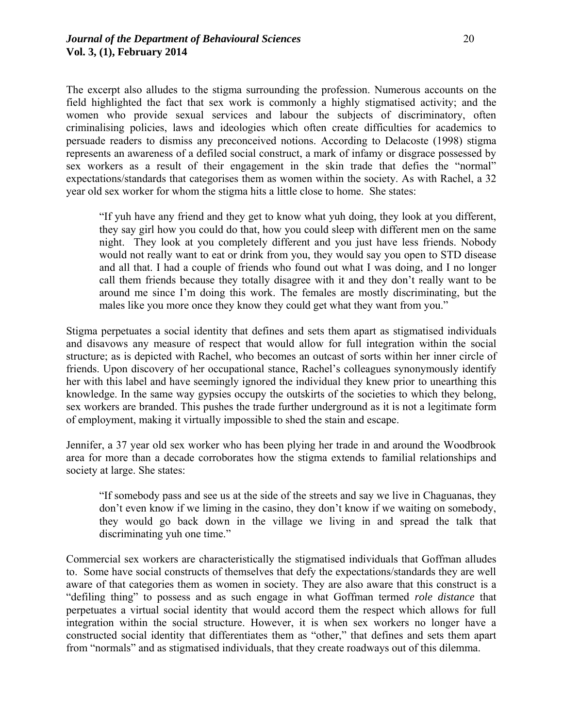The excerpt also alludes to the stigma surrounding the profession. Numerous accounts on the field highlighted the fact that sex work is commonly a highly stigmatised activity; and the women who provide sexual services and labour the subjects of discriminatory, often criminalising policies, laws and ideologies which often create difficulties for academics to persuade readers to dismiss any preconceived notions. According to Delacoste (1998) stigma represents an awareness of a defiled social construct, a mark of infamy or disgrace possessed by sex workers as a result of their engagement in the skin trade that defies the "normal" expectations/standards that categorises them as women within the society. As with Rachel, a 32 year old sex worker for whom the stigma hits a little close to home. She states:

"If yuh have any friend and they get to know what yuh doing, they look at you different, they say girl how you could do that, how you could sleep with different men on the same night. They look at you completely different and you just have less friends. Nobody would not really want to eat or drink from you, they would say you open to STD disease and all that. I had a couple of friends who found out what I was doing, and I no longer call them friends because they totally disagree with it and they don't really want to be around me since I'm doing this work. The females are mostly discriminating, but the males like you more once they know they could get what they want from you."

Stigma perpetuates a social identity that defines and sets them apart as stigmatised individuals and disavows any measure of respect that would allow for full integration within the social structure; as is depicted with Rachel, who becomes an outcast of sorts within her inner circle of friends. Upon discovery of her occupational stance, Rachel's colleagues synonymously identify her with this label and have seemingly ignored the individual they knew prior to unearthing this knowledge. In the same way gypsies occupy the outskirts of the societies to which they belong, sex workers are branded. This pushes the trade further underground as it is not a legitimate form of employment, making it virtually impossible to shed the stain and escape.

Jennifer, a 37 year old sex worker who has been plying her trade in and around the Woodbrook area for more than a decade corroborates how the stigma extends to familial relationships and society at large. She states:

"If somebody pass and see us at the side of the streets and say we live in Chaguanas, they don't even know if we liming in the casino, they don't know if we waiting on somebody, they would go back down in the village we living in and spread the talk that discriminating yuh one time."

Commercial sex workers are characteristically the stigmatised individuals that Goffman alludes to. Some have social constructs of themselves that defy the expectations/standards they are well aware of that categories them as women in society. They are also aware that this construct is a "defiling thing" to possess and as such engage in what Goffman termed *role distance* that perpetuates a virtual social identity that would accord them the respect which allows for full integration within the social structure. However, it is when sex workers no longer have a constructed social identity that differentiates them as "other," that defines and sets them apart from "normals" and as stigmatised individuals, that they create roadways out of this dilemma.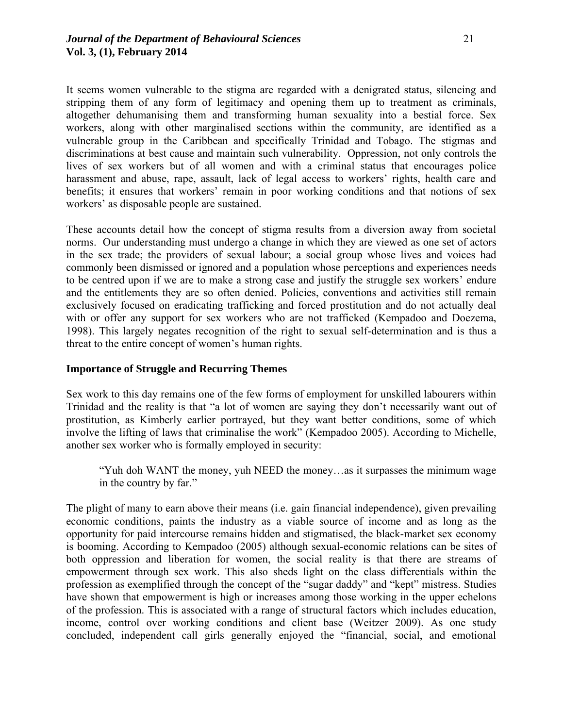It seems women vulnerable to the stigma are regarded with a denigrated status, silencing and stripping them of any form of legitimacy and opening them up to treatment as criminals, altogether dehumanising them and transforming human sexuality into a bestial force. Sex workers, along with other marginalised sections within the community, are identified as a vulnerable group in the Caribbean and specifically Trinidad and Tobago. The stigmas and discriminations at best cause and maintain such vulnerability. Oppression, not only controls the lives of sex workers but of all women and with a criminal status that encourages police harassment and abuse, rape, assault, lack of legal access to workers' rights, health care and benefits; it ensures that workers' remain in poor working conditions and that notions of sex workers' as disposable people are sustained.

These accounts detail how the concept of stigma results from a diversion away from societal norms. Our understanding must undergo a change in which they are viewed as one set of actors in the sex trade; the providers of sexual labour; a social group whose lives and voices had commonly been dismissed or ignored and a population whose perceptions and experiences needs to be centred upon if we are to make a strong case and justify the struggle sex workers' endure and the entitlements they are so often denied. Policies, conventions and activities still remain exclusively focused on eradicating trafficking and forced prostitution and do not actually deal with or offer any support for sex workers who are not trafficked (Kempadoo and Doezema, 1998). This largely negates recognition of the right to sexual self-determination and is thus a threat to the entire concept of women's human rights.

#### **Importance of Struggle and Recurring Themes**

Sex work to this day remains one of the few forms of employment for unskilled labourers within Trinidad and the reality is that "a lot of women are saying they don't necessarily want out of prostitution, as Kimberly earlier portrayed, but they want better conditions, some of which involve the lifting of laws that criminalise the work" (Kempadoo 2005). According to Michelle, another sex worker who is formally employed in security:

"Yuh doh WANT the money, yuh NEED the money…as it surpasses the minimum wage in the country by far."

The plight of many to earn above their means (i.e. gain financial independence), given prevailing economic conditions, paints the industry as a viable source of income and as long as the opportunity for paid intercourse remains hidden and stigmatised, the black-market sex economy is booming. According to Kempadoo (2005) although sexual-economic relations can be sites of both oppression and liberation for women, the social reality is that there are streams of empowerment through sex work. This also sheds light on the class differentials within the profession as exemplified through the concept of the "sugar daddy" and "kept" mistress. Studies have shown that empowerment is high or increases among those working in the upper echelons of the profession. This is associated with a range of structural factors which includes education, income, control over working conditions and client base (Weitzer 2009). As one study concluded, independent call girls generally enjoyed the "financial, social, and emotional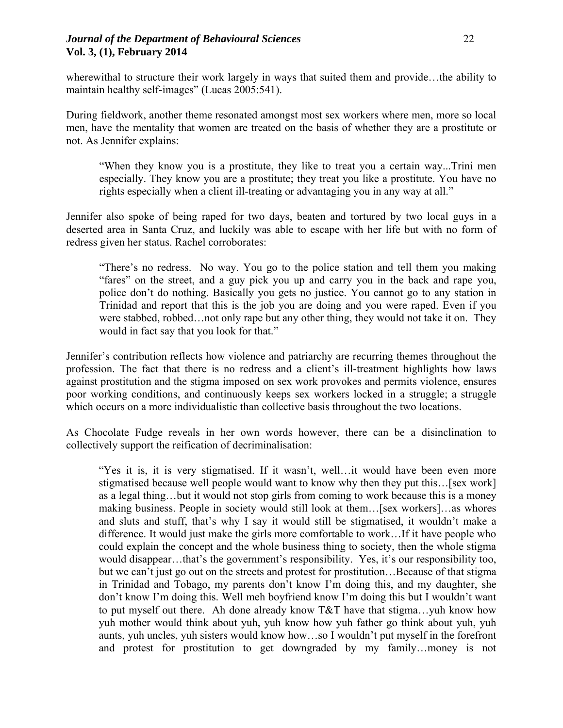#### *Journal of the Department of Behavioural Sciences* 22 **Vol. 3, (1), February 2014**

wherewithal to structure their work largely in ways that suited them and provide...the ability to maintain healthy self-images" (Lucas 2005:541).

During fieldwork, another theme resonated amongst most sex workers where men, more so local men, have the mentality that women are treated on the basis of whether they are a prostitute or not. As Jennifer explains:

"When they know you is a prostitute, they like to treat you a certain way...Trini men especially. They know you are a prostitute; they treat you like a prostitute. You have no rights especially when a client ill-treating or advantaging you in any way at all."

Jennifer also spoke of being raped for two days, beaten and tortured by two local guys in a deserted area in Santa Cruz, and luckily was able to escape with her life but with no form of redress given her status. Rachel corroborates:

"There's no redress. No way. You go to the police station and tell them you making "fares" on the street, and a guy pick you up and carry you in the back and rape you, police don't do nothing. Basically you gets no justice. You cannot go to any station in Trinidad and report that this is the job you are doing and you were raped. Even if you were stabbed, robbed…not only rape but any other thing, they would not take it on. They would in fact say that you look for that."

Jennifer's contribution reflects how violence and patriarchy are recurring themes throughout the profession. The fact that there is no redress and a client's ill-treatment highlights how laws against prostitution and the stigma imposed on sex work provokes and permits violence, ensures poor working conditions, and continuously keeps sex workers locked in a struggle; a struggle which occurs on a more individualistic than collective basis throughout the two locations.

As Chocolate Fudge reveals in her own words however, there can be a disinclination to collectively support the reification of decriminalisation:

"Yes it is, it is very stigmatised. If it wasn't, well…it would have been even more stigmatised because well people would want to know why then they put this... [sex work] as a legal thing…but it would not stop girls from coming to work because this is a money making business. People in society would still look at them…[sex workers]…as whores and sluts and stuff, that's why I say it would still be stigmatised, it wouldn't make a difference. It would just make the girls more comfortable to work…If it have people who could explain the concept and the whole business thing to society, then the whole stigma would disappear…that's the government's responsibility. Yes, it's our responsibility too, but we can't just go out on the streets and protest for prostitution…Because of that stigma in Trinidad and Tobago, my parents don't know I'm doing this, and my daughter, she don't know I'm doing this. Well meh boyfriend know I'm doing this but I wouldn't want to put myself out there. Ah done already know T&T have that stigma…yuh know how yuh mother would think about yuh, yuh know how yuh father go think about yuh, yuh aunts, yuh uncles, yuh sisters would know how…so I wouldn't put myself in the forefront and protest for prostitution to get downgraded by my family…money is not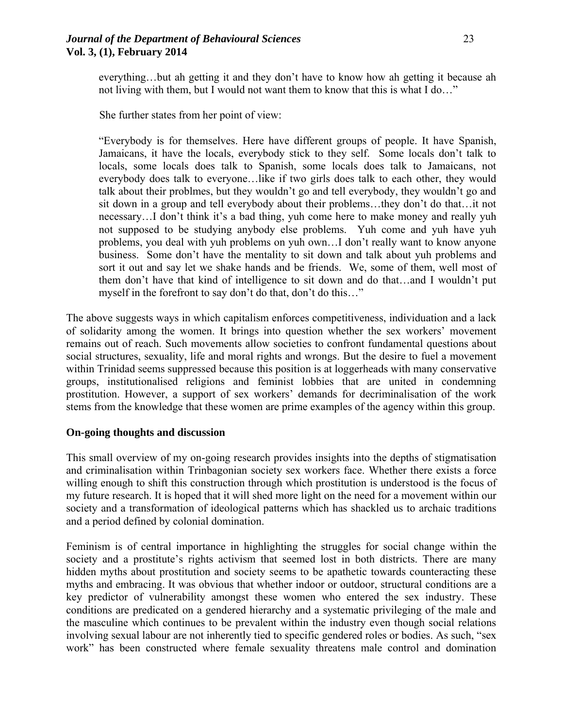### *Journal of the Department of Behavioural Sciences* 23 **Vol. 3, (1), February 2014**

everything…but ah getting it and they don't have to know how ah getting it because ah not living with them, but I would not want them to know that this is what I do…"

She further states from her point of view:

"Everybody is for themselves. Here have different groups of people. It have Spanish, Jamaicans, it have the locals, everybody stick to they self. Some locals don't talk to locals, some locals does talk to Spanish, some locals does talk to Jamaicans, not everybody does talk to everyone…like if two girls does talk to each other, they would talk about their problmes, but they wouldn't go and tell everybody, they wouldn't go and sit down in a group and tell everybody about their problems…they don't do that…it not necessary…I don't think it's a bad thing, yuh come here to make money and really yuh not supposed to be studying anybody else problems. Yuh come and yuh have yuh problems, you deal with yuh problems on yuh own…I don't really want to know anyone business. Some don't have the mentality to sit down and talk about yuh problems and sort it out and say let we shake hands and be friends. We, some of them, well most of them don't have that kind of intelligence to sit down and do that…and I wouldn't put myself in the forefront to say don't do that, don't do this…"

The above suggests ways in which capitalism enforces competitiveness, individuation and a lack of solidarity among the women. It brings into question whether the sex workers' movement remains out of reach. Such movements allow societies to confront fundamental questions about social structures, sexuality, life and moral rights and wrongs. But the desire to fuel a movement within Trinidad seems suppressed because this position is at loggerheads with many conservative groups, institutionalised religions and feminist lobbies that are united in condemning prostitution. However, a support of sex workers' demands for decriminalisation of the work stems from the knowledge that these women are prime examples of the agency within this group.

#### **On-going thoughts and discussion**

This small overview of my on-going research provides insights into the depths of stigmatisation and criminalisation within Trinbagonian society sex workers face. Whether there exists a force willing enough to shift this construction through which prostitution is understood is the focus of my future research. It is hoped that it will shed more light on the need for a movement within our society and a transformation of ideological patterns which has shackled us to archaic traditions and a period defined by colonial domination.

Feminism is of central importance in highlighting the struggles for social change within the society and a prostitute's rights activism that seemed lost in both districts. There are many hidden myths about prostitution and society seems to be apathetic towards counteracting these myths and embracing. It was obvious that whether indoor or outdoor, structural conditions are a key predictor of vulnerability amongst these women who entered the sex industry. These conditions are predicated on a gendered hierarchy and a systematic privileging of the male and the masculine which continues to be prevalent within the industry even though social relations involving sexual labour are not inherently tied to specific gendered roles or bodies. As such, "sex work" has been constructed where female sexuality threatens male control and domination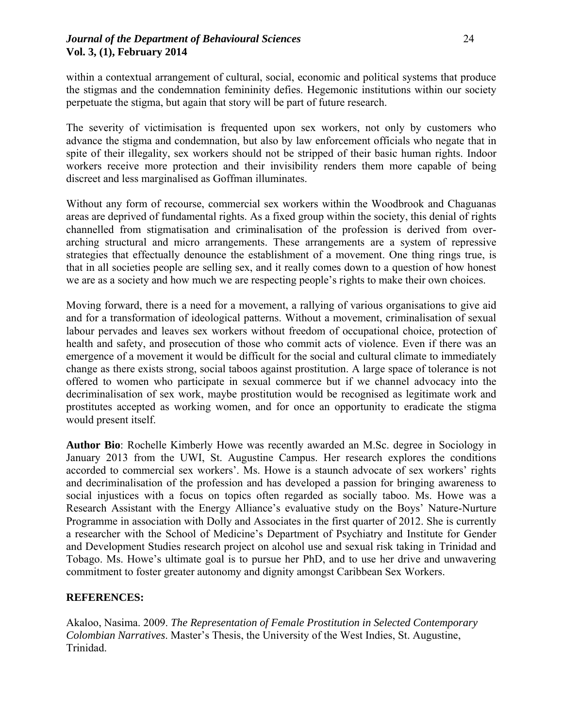within a contextual arrangement of cultural, social, economic and political systems that produce the stigmas and the condemnation femininity defies. Hegemonic institutions within our society perpetuate the stigma, but again that story will be part of future research.

The severity of victimisation is frequented upon sex workers, not only by customers who advance the stigma and condemnation, but also by law enforcement officials who negate that in spite of their illegality, sex workers should not be stripped of their basic human rights. Indoor workers receive more protection and their invisibility renders them more capable of being discreet and less marginalised as Goffman illuminates.

Without any form of recourse, commercial sex workers within the Woodbrook and Chaguanas areas are deprived of fundamental rights. As a fixed group within the society, this denial of rights channelled from stigmatisation and criminalisation of the profession is derived from overarching structural and micro arrangements. These arrangements are a system of repressive strategies that effectually denounce the establishment of a movement. One thing rings true, is that in all societies people are selling sex, and it really comes down to a question of how honest we are as a society and how much we are respecting people's rights to make their own choices.

Moving forward, there is a need for a movement, a rallying of various organisations to give aid and for a transformation of ideological patterns. Without a movement, criminalisation of sexual labour pervades and leaves sex workers without freedom of occupational choice, protection of health and safety, and prosecution of those who commit acts of violence. Even if there was an emergence of a movement it would be difficult for the social and cultural climate to immediately change as there exists strong, social taboos against prostitution. A large space of tolerance is not offered to women who participate in sexual commerce but if we channel advocacy into the decriminalisation of sex work, maybe prostitution would be recognised as legitimate work and prostitutes accepted as working women, and for once an opportunity to eradicate the stigma would present itself.

**Author Bio**: Rochelle Kimberly Howe was recently awarded an M.Sc. degree in Sociology in January 2013 from the UWI, St. Augustine Campus. Her research explores the conditions accorded to commercial sex workers'. Ms. Howe is a staunch advocate of sex workers' rights and decriminalisation of the profession and has developed a passion for bringing awareness to social injustices with a focus on topics often regarded as socially taboo. Ms. Howe was a Research Assistant with the Energy Alliance's evaluative study on the Boys' Nature-Nurture Programme in association with Dolly and Associates in the first quarter of 2012. She is currently a researcher with the School of Medicine's Department of Psychiatry and Institute for Gender and Development Studies research project on alcohol use and sexual risk taking in Trinidad and Tobago. Ms. Howe's ultimate goal is to pursue her PhD, and to use her drive and unwavering commitment to foster greater autonomy and dignity amongst Caribbean Sex Workers.

# **REFERENCES:**

Akaloo, Nasima. 2009. *The Representation of Female Prostitution in Selected Contemporary Colombian Narratives*. Master's Thesis, the University of the West Indies, St. Augustine, Trinidad.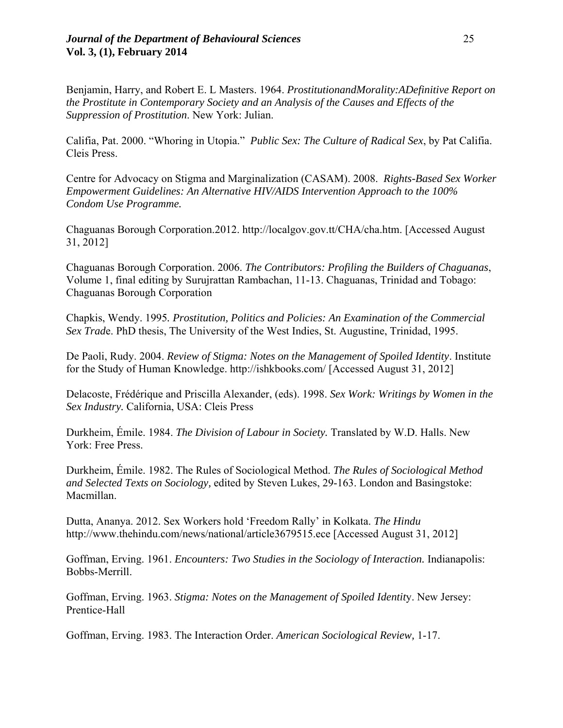Benjamin, Harry, and Robert E. L Masters. 1964. *ProstitutionandMorality:ADefinitive Report on the Prostitute in Contemporary Society and an Analysis of the Causes and Effects of the Suppression of Prostitution*. New York: Julian.

Califia, Pat. 2000. "Whoring in Utopia." *Public Sex: The Culture of Radical Sex*, by Pat Califia. Cleis Press.

Centre for Advocacy on Stigma and Marginalization (CASAM). 2008. *Rights-Based Sex Worker Empowerment Guidelines: An Alternative HIV/AIDS Intervention Approach to the 100% Condom Use Programme.*

Chaguanas Borough Corporation.2012. http://localgov.gov.tt/CHA/cha.htm. [Accessed August 31, 2012]

Chaguanas Borough Corporation. 2006. *The Contributors: Profiling the Builders of Chaguanas*, Volume 1, final editing by Surujrattan Rambachan, 11-13. Chaguanas, Trinidad and Tobago: Chaguanas Borough Corporation

Chapkis, Wendy. 1995*. Prostitution, Politics and Policies: An Examination of the Commercial Sex Trad*e. PhD thesis, The University of the West Indies, St. Augustine, Trinidad, 1995.

De Paoli, Rudy. 2004. *Review of Stigma: Notes on the Management of Spoiled Identity*. Institute for the Study of Human Knowledge. http://ishkbooks.com/ [Accessed August 31, 2012]

Delacoste, Frédérique and Priscilla Alexander, (eds). 1998. *Sex Work: Writings by Women in the Sex Industry.* California, USA: Cleis Press

Durkheim, Émile. 1984. *The Division of Labour in Society.* Translated by W.D. Halls. New York: Free Press.

Durkheim, Émile. 1982. The Rules of Sociological Method. *The Rules of Sociological Method and Selected Texts on Sociology,* edited by Steven Lukes, 29-163. London and Basingstoke: Macmillan.

Dutta, Ananya. 2012. Sex Workers hold 'Freedom Rally' in Kolkata. *The Hindu* http://www.thehindu.com/news/national/article3679515.ece [Accessed August 31, 2012]

Goffman, Erving. 1961. *Encounters: Two Studies in the Sociology of Interaction.* Indianapolis: Bobbs-Merrill.

Goffman, Erving. 1963. *Stigma: Notes on the Management of Spoiled Identit*y. New Jersey: Prentice-Hall

Goffman, Erving. 1983. The Interaction Order. *American Sociological Review,* 1-17.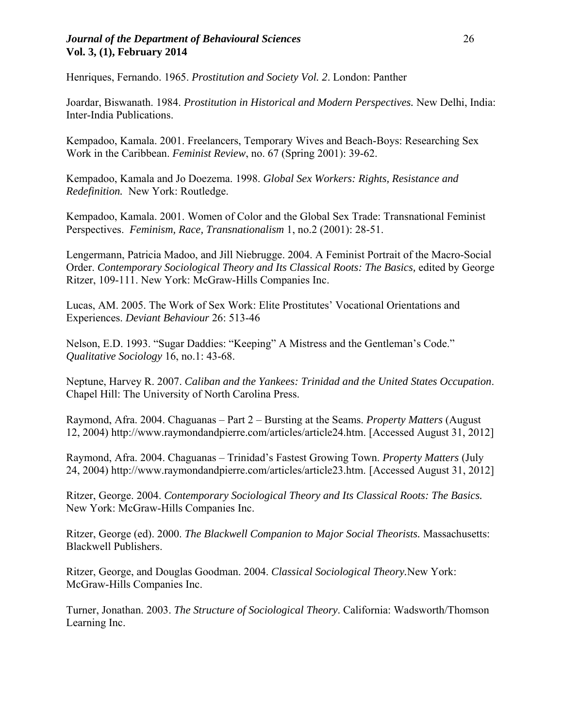#### *Journal of the Department of Behavioural Sciences* 26 **Vol. 3, (1), February 2014**

Henriques, Fernando. 1965. *Prostitution and Society Vol. 2*. London: Panther

Joardar, Biswanath. 1984. *Prostitution in Historical and Modern Perspectives.* New Delhi, India: Inter-India Publications.

Kempadoo, Kamala. 2001. Freelancers, Temporary Wives and Beach-Boys: Researching Sex Work in the Caribbean. *Feminist Review*, no. 67 (Spring 2001): 39-62.

Kempadoo, Kamala and Jo Doezema. 1998. *Global Sex Workers: Rights, Resistance and Redefinition.* New York: Routledge.

Kempadoo, Kamala. 2001. Women of Color and the Global Sex Trade: Transnational Feminist Perspectives. *Feminism, Race, Transnationalism* 1, no.2 (2001): 28-51.

Lengermann, Patricia Madoo, and Jill Niebrugge. 2004. A Feminist Portrait of the Macro-Social Order. Contemporary Sociological Theory and Its Classical Roots: The Basics, edited by George Ritzer, 109-111. New York: McGraw-Hills Companies Inc.

Lucas, AM. 2005. The Work of Sex Work: Elite Prostitutes' Vocational Orientations and Experiences. *Deviant Behaviour* 26: 513-46

Nelson, E.D. 1993. "Sugar Daddies: "Keeping" A Mistress and the Gentleman's Code." *Qualitative Sociology* 16, no.1: 43-68.

Neptune, Harvey R. 2007. *Caliban and the Yankees: Trinidad and the United States Occupation*. Chapel Hill: The University of North Carolina Press.

Raymond, Afra. 2004. Chaguanas – Part 2 – Bursting at the Seams. *Property Matters* (August 12, 2004) http://www.raymondandpierre.com/articles/article24.htm. [Accessed August 31, 2012]

Raymond, Afra. 2004. Chaguanas – Trinidad's Fastest Growing Town. *Property Matters* (July 24, 2004) http://www.raymondandpierre.com/articles/article23.htm. [Accessed August 31, 2012]

Ritzer, George. 2004. *Contemporary Sociological Theory and Its Classical Roots: The Basics.*  New York: McGraw-Hills Companies Inc.

Ritzer, George (ed). 2000. *The Blackwell Companion to Major Social Theorists.* Massachusetts: Blackwell Publishers.

Ritzer, George, and Douglas Goodman. 2004. *Classical Sociological Theory.*New York: McGraw-Hills Companies Inc.

Turner, Jonathan. 2003. *The Structure of Sociological Theory*. California: Wadsworth/Thomson Learning Inc.